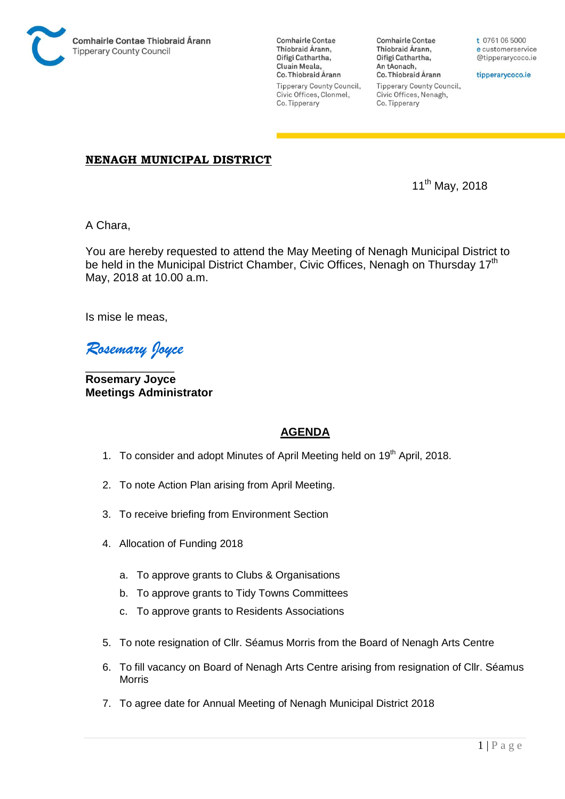

**Comhairle Contae** Thiobraid Árann, Oifigí Cathartha, Cluain Meala, Co. Thiobraid Árann Tipperary County Council, Civic Offices, Clonmel, Co. Tipperary

**Comhairle Contae** Thiobraid Árann, Oifigí Cathartha, An tAonach, Co. Thiobraid Árann **Tipperary County Council,** Civic Offices, Nenagh, Co. Tipperary

t 0761 06 5000 e customerservice @tipperarycoco.ie

tipperarycoco.ie

## **NENAGH MUNICIPAL DISTRICT**

11th May, 2018

A Chara,

You are hereby requested to attend the May Meeting of Nenagh Municipal District to be held in the Municipal District Chamber, Civic Offices, Nenagh on Thursday 17<sup>th</sup> May, 2018 at 10.00 a.m.

Is mise le meas,

*Rosemary Joyce* 

\_\_\_\_\_\_\_\_\_\_\_\_\_\_ **Rosemary Joyce Meetings Administrator** 

## **AGENDA**

- 1. To consider and adopt Minutes of April Meeting held on 19<sup>th</sup> April, 2018.
- 2. To note Action Plan arising from April Meeting.
- 3. To receive briefing from Environment Section
- 4. Allocation of Funding 2018
	- a. To approve grants to Clubs & Organisations
	- b. To approve grants to Tidy Towns Committees
	- c. To approve grants to Residents Associations
- 5. To note resignation of Cllr. Séamus Morris from the Board of Nenagh Arts Centre
- 6. To fill vacancy on Board of Nenagh Arts Centre arising from resignation of Cllr. Séamus Morris
- 7. To agree date for Annual Meeting of Nenagh Municipal District 2018